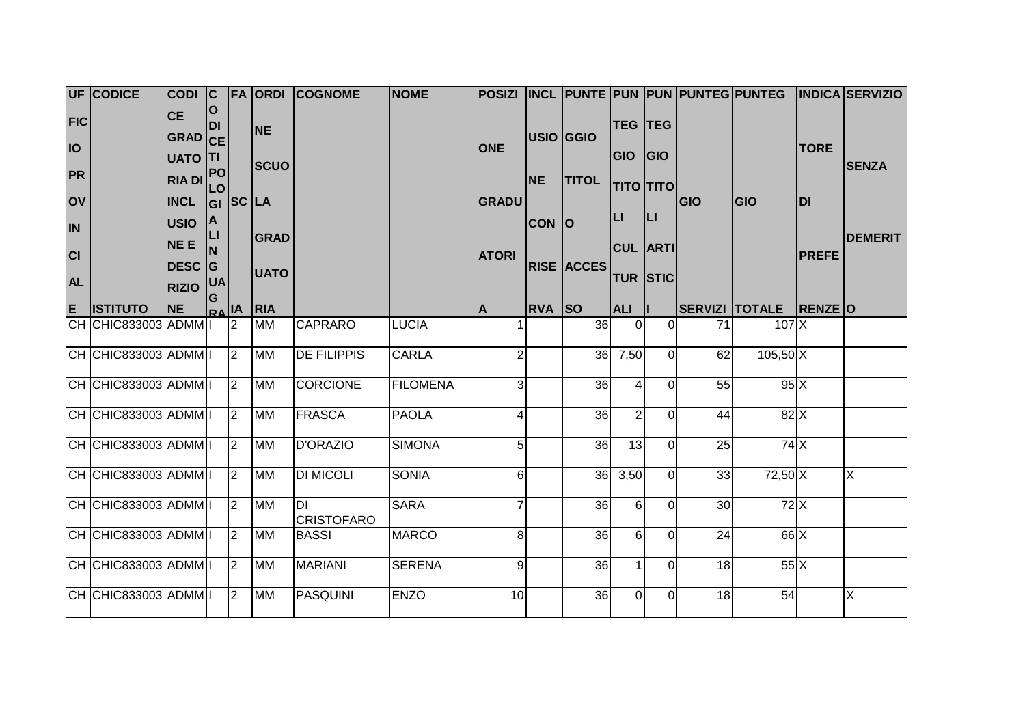|                         | <b>UF CODICE</b>     | CODI C                                 |                 |                |                         | <b>FA ORDI COGNOME</b>         | <b>NOME</b>     |                         |               |                   |                              |                |            |                                |              | POSIZI INCL PUNTE PUN PUN PUNTEG PUNTEG INDICA SERVIZIO |
|-------------------------|----------------------|----------------------------------------|-----------------|----------------|-------------------------|--------------------------------|-----------------|-------------------------|---------------|-------------------|------------------------------|----------------|------------|--------------------------------|--------------|---------------------------------------------------------|
| <b>FIC</b><br><b>IO</b> |                      | <b>CE</b><br>GRAD CE<br><b>UATO TI</b> | ΙO<br><b>DI</b> |                | <b>NE</b>               |                                |                 | <b>ONE</b>              |               | <b>USIO GGIO</b>  | <b>TEG TEG</b><br><b>GIO</b> | G              |            |                                | <b>TORE</b>  |                                                         |
| <b>PR</b>               |                      | RIA DI PO                              | <b>LO</b>       |                | <b>SCUO</b>             |                                |                 |                         | <b>NE</b>     | <b>TITOL</b>      | τιτο τιτο                    |                |            |                                |              | <b>SENZA</b>                                            |
| <b>lov</b>              |                      | <b>INCL</b>                            | lgı             | SC LA          |                         |                                |                 | <b>GRADU</b>            |               |                   | IЦ                           |                | <b>GIO</b> | <b>GIO</b>                     | <b>DI</b>    |                                                         |
| <b>IN</b>               |                      | <b>USIO</b>                            | ΙA<br>LI        |                | <b>GRAD</b>             |                                |                 |                         | <b>CON O</b>  |                   |                              | ĮЦ             |            |                                |              | <b>DEMERIT</b>                                          |
| <b>CI</b>               |                      | NE E                                   | <b>N</b>        |                |                         |                                |                 | <b>ATORI</b>            |               |                   | <b>CUL ARTI</b>              |                |            |                                | <b>PREFE</b> |                                                         |
| <b>AL</b>               |                      | DESC G                                 | <b>UA</b>       |                | <b>UATO</b>             |                                |                 |                         |               | <b>RISE ACCES</b> | <b>TUR STIC</b>              |                |            |                                |              |                                                         |
|                         |                      | <b>RIZIO</b>                           | G               |                |                         |                                |                 |                         |               |                   |                              |                |            |                                |              |                                                         |
|                         | E ISTITUTO           | <b>NE</b>                              | $A _{R\Delta}$  |                | <b>RIA</b><br><b>MM</b> |                                |                 | A                       | <b>RVA SO</b> |                   | <b>ALI</b>                   | $\Omega$       | 71         | SERVIZI TOTALE RENZE O<br>107X |              |                                                         |
|                         | CH CHIC833003 ADMM I |                                        |                 | $\vert$ 2      |                         | <b>CAPRARO</b>                 | <b>LUCIA</b>    |                         |               | 36                |                              |                |            |                                |              |                                                         |
|                         | CH CHIC833003 ADMM I |                                        |                 | $\overline{2}$ | <b>MM</b>               | <b>DE FILIPPIS</b>             | <b>CARLA</b>    | $\overline{2}$          |               |                   | 36 7,50                      | $\Omega$       | 62         | $105,50$ $\overline{X}$        |              |                                                         |
|                         | CH CHIC833003 ADMM I |                                        |                 | $\vert$ 2      | <b>MM</b>               | <b>CORCIONE</b>                | <b>FILOMENA</b> | 3 <sup>1</sup>          |               | 36                |                              | $\Omega$       | 55         | 95X                            |              |                                                         |
|                         | CH CHIC833003 ADMM I |                                        |                 | $\vert$ 2      | <b>MM</b>               | <b>FRASCA</b>                  | <b>PAOLA</b>    | $\overline{\mathbf{4}}$ |               | 36                | $\overline{2}$               | $\Omega$       | 44         | 82X                            |              |                                                         |
|                         | CH CHIC833003 ADMM I |                                        |                 | $\vert$ 2      | <b>MM</b>               | <b>D'ORAZIO</b>                | <b>SIMONA</b>   | 5                       |               | 36                | 13                           | $\overline{0}$ | 25         | 74X                            |              |                                                         |
|                         | CH CHIC833003 ADMM I |                                        |                 | $\overline{2}$ | <b>MM</b>               | <b>DI MICOLI</b>               | <b>SONIA</b>    | 6 <sup>1</sup>          |               |                   | 36 3,50                      | $\Omega$       | 33         | 72,50 X                        |              | $\overline{\mathsf{X}}$                                 |
|                         | CH CHIC833003 ADMM I |                                        |                 | $\mathsf{I}2$  | <b>MM</b>               | <b>DI</b><br><b>CRISTOFARO</b> | <b>SARA</b>     | $\overline{7}$          |               | 36                | 6                            | $\Omega$       | 30         | 72X                            |              |                                                         |
|                         | CH CHIC833003 ADMM I |                                        |                 | $\mathsf{I}2$  | <b>MM</b>               | <b>BASSI</b>                   | <b>MARCO</b>    | 8 <sup>1</sup>          |               | 36                | 6                            | $\Omega$       | 24         | 66X                            |              |                                                         |
|                         | CH CHIC833003 ADMM I |                                        |                 | $\mathsf{I}2$  | <b>MM</b>               | <b>MARIANI</b>                 | <b>SERENA</b>   | 9 <sub>l</sub>          |               | 36                |                              | $\Omega$       | 18         | 55X                            |              |                                                         |
|                         | $CH$ CHIC833003 ADMM |                                        |                 | $\overline{2}$ | <b>MM</b>               | <b>PASQUINI</b>                | <b>ENZO</b>     | 10                      |               | 36                | $\Omega$                     | $\Omega$       | 18         | 54                             |              | $\overline{\mathsf{x}}$                                 |